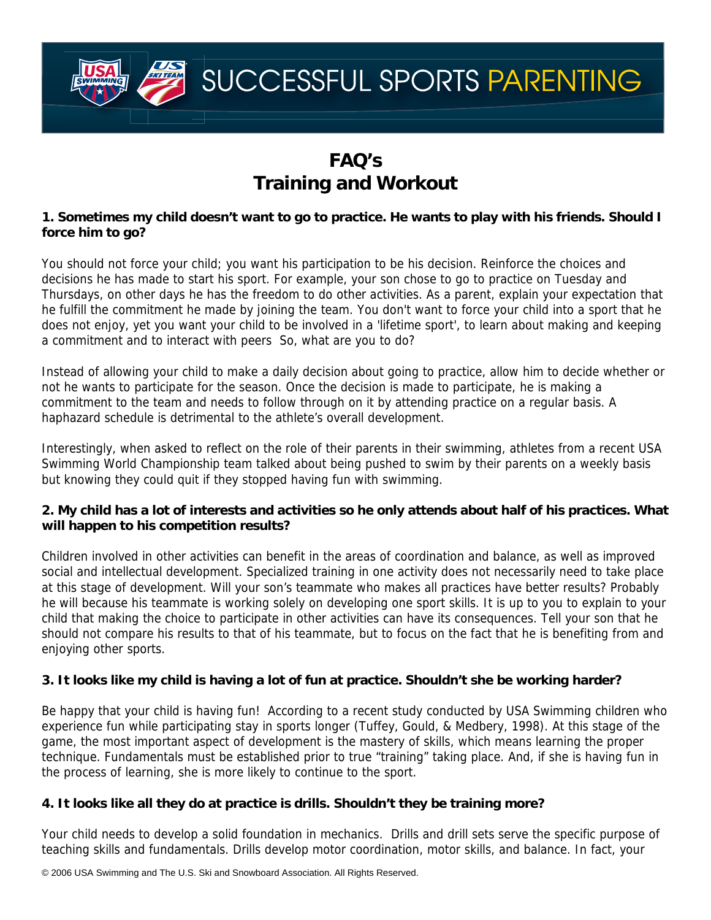

# **FAQ's Training and Workout**

## **1. Sometimes my child doesn't want to go to practice. He wants to play with his friends. Should I force him to go?**

You should not force your child; you want his participation to be his decision. Reinforce the choices and decisions he has made to start his sport. For example, your son chose to go to practice on Tuesday and Thursdays, on other days he has the freedom to do other activities. As a parent, explain your expectation that he fulfill the commitment he made by joining the team. You don't want to force your child into a sport that he does not enjoy, yet you want your child to be involved in a 'lifetime sport', to learn about making and keeping a commitment and to interact with peers So, what are you to do?

Instead of allowing your child to make a daily decision about going to practice, allow him to decide whether or not he wants to participate for the season. Once the decision is made to participate, he is making a commitment to the team and needs to follow through on it by attending practice on a regular basis. A haphazard schedule is detrimental to the athlete's overall development.

Interestingly, when asked to reflect on the role of their parents in their swimming, athletes from a recent USA Swimming World Championship team talked about being pushed to swim by their parents on a weekly basis but knowing they could quit if they stopped having fun with swimming.

# **2. My child has a lot of interests and activities so he only attends about half of his practices. What will happen to his competition results?**

Children involved in other activities can benefit in the areas of coordination and balance, as well as improved social and intellectual development. Specialized training in one activity does not necessarily need to take place at this stage of development. Will your son's teammate who makes all practices have better results? Probably he will because his teammate is working solely on developing one sport skills. It is up to you to explain to your child that making the choice to participate in other activities can have its consequences. Tell your son that he should not compare his results to that of his teammate, but to focus on the fact that he is benefiting from and enjoying other sports.

# **3. It looks like my child is having a lot of fun at practice. Shouldn't she be working harder?**

Be happy that your child is having fun! According to a recent study conducted by USA Swimming children who experience fun while participating stay in sports longer (Tuffey, Gould, & Medbery, 1998). At this stage of the game, the most important aspect of development is the mastery of skills, which means learning the proper technique. Fundamentals must be established prior to true "training" taking place. And, if she is having fun in the process of learning, she is more likely to continue to the sport.

# **4. It looks like all they do at practice is drills. Shouldn't they be training more?**

Your child needs to develop a solid foundation in mechanics. Drills and drill sets serve the specific purpose of teaching skills and fundamentals. Drills develop motor coordination, motor skills, and balance. In fact, your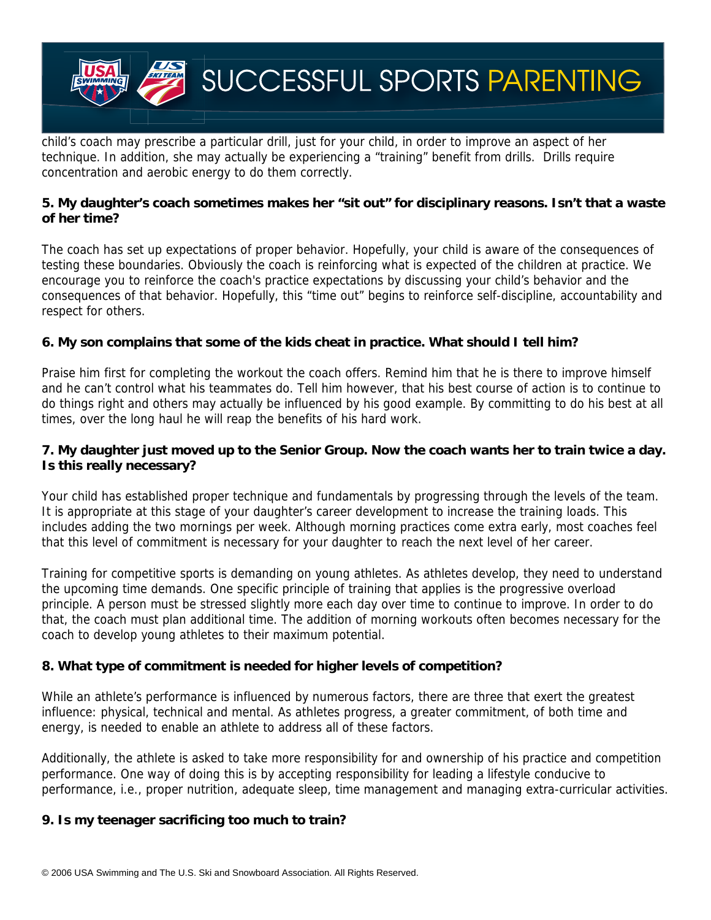

child's coach may prescribe a particular drill, just for your child, in order to improve an aspect of her technique. In addition, she may actually be experiencing a "training" benefit from drills. Drills require concentration and aerobic energy to do them correctly.

#### **5. My daughter's coach sometimes makes her "sit out" for disciplinary reasons. Isn't that a waste of her time?**

The coach has set up expectations of proper behavior. Hopefully, your child is aware of the consequences of testing these boundaries. Obviously the coach is reinforcing what is expected of the children at practice. We encourage you to reinforce the coach's practice expectations by discussing your child's behavior and the consequences of that behavior. Hopefully, this "time out" begins to reinforce self-discipline, accountability and respect for others.

## **6. My son complains that some of the kids cheat in practice. What should I tell him?**

Praise him first for completing the workout the coach offers. Remind him that he is there to improve himself and he can't control what his teammates do. Tell him however, that his best course of action is to continue to do things right and others may actually be influenced by his good example. By committing to do his best at all times, over the long haul he will reap the benefits of his hard work.

## **7. My daughter just moved up to the Senior Group. Now the coach wants her to train twice a day. Is this really necessary?**

Your child has established proper technique and fundamentals by progressing through the levels of the team. It is appropriate at this stage of your daughter's career development to increase the training loads. This includes adding the two mornings per week. Although morning practices come extra early, most coaches feel that this level of commitment is necessary for your daughter to reach the next level of her career.

Training for competitive sports is demanding on young athletes. As athletes develop, they need to understand the upcoming time demands. One specific principle of training that applies is the progressive overload principle. A person must be stressed slightly more each day over time to continue to improve. In order to do that, the coach must plan additional time. The addition of morning workouts often becomes necessary for the coach to develop young athletes to their maximum potential.

#### **8. What type of commitment is needed for higher levels of competition?**

While an athlete's performance is influenced by numerous factors, there are three that exert the greatest influence: physical, technical and mental. As athletes progress, a greater commitment, of both time and energy, is needed to enable an athlete to address all of these factors.

Additionally, the athlete is asked to take more responsibility for and ownership of his practice and competition performance. One way of doing this is by accepting responsibility for leading a lifestyle conducive to performance, i.e., proper nutrition, adequate sleep, time management and managing extra-curricular activities.

#### **9. Is my teenager sacrificing too much to train?**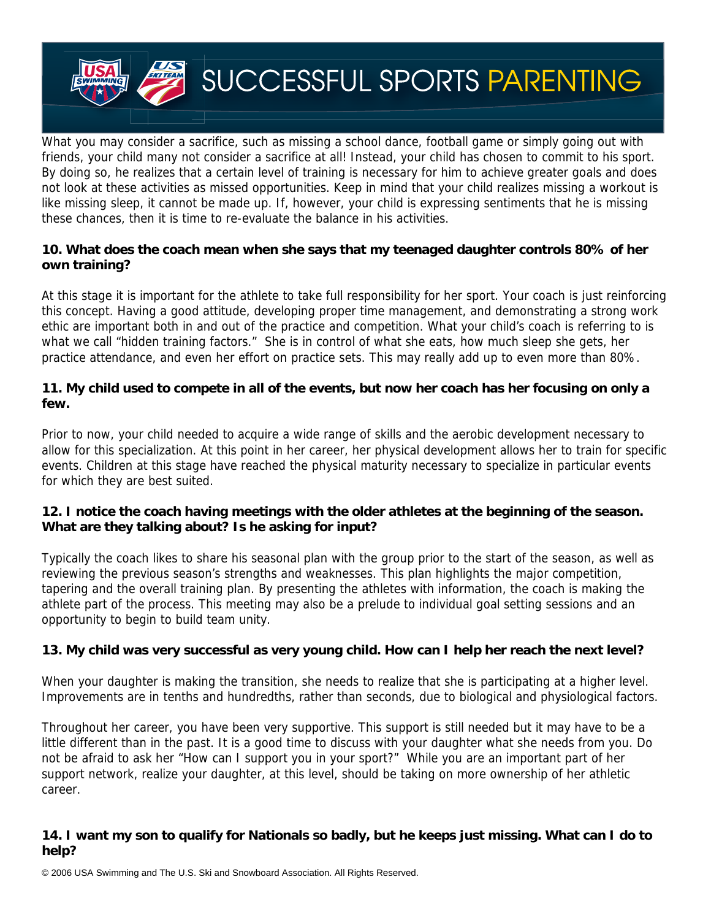

What you may consider a sacrifice, such as missing a school dance, football game or simply going out with friends, your child many not consider a sacrifice at all! Instead, your child has chosen to commit to his sport. By doing so, he realizes that a certain level of training is necessary for him to achieve greater goals and does not look at these activities as missed opportunities. Keep in mind that your child realizes missing a workout is like missing sleep, it cannot be made up. If, however, your child is expressing sentiments that he is missing these chances, then it is time to re-evaluate the balance in his activities.

### **10. What does the coach mean when she says that my teenaged daughter controls 80% of her own training?**

At this stage it is important for the athlete to take full responsibility for her sport. Your coach is just reinforcing this concept. Having a good attitude, developing proper time management, and demonstrating a strong work ethic are important both in and out of the practice and competition. What your child's coach is referring to is what we call "hidden training factors." She is in control of what she eats, how much sleep she gets, her practice attendance, and even her effort on practice sets. This may really add up to even more than 80%.

## **11. My child used to compete in all of the events, but now her coach has her focusing on only a few.**

Prior to now, your child needed to acquire a wide range of skills and the aerobic development necessary to allow for this specialization. At this point in her career, her physical development allows her to train for specific events. Children at this stage have reached the physical maturity necessary to specialize in particular events for which they are best suited.

# **12. I notice the coach having meetings with the older athletes at the beginning of the season. What are they talking about? Is he asking for input?**

Typically the coach likes to share his seasonal plan with the group prior to the start of the season, as well as reviewing the previous season's strengths and weaknesses. This plan highlights the major competition, tapering and the overall training plan. By presenting the athletes with information, the coach is making the athlete part of the process. This meeting may also be a prelude to individual goal setting sessions and an opportunity to begin to build team unity.

# **13. My child was very successful as very young child. How can I help her reach the next level?**

When your daughter is making the transition, she needs to realize that she is participating at a higher level. Improvements are in tenths and hundredths, rather than seconds, due to biological and physiological factors.

Throughout her career, you have been very supportive. This support is still needed but it may have to be a little different than in the past. It is a good time to discuss with your daughter what she needs from you. Do not be afraid to ask her "How can I support you in your sport?" While you are an important part of her support network, realize your daughter, at this level, should be taking on more ownership of her athletic career.

## **14. I want my son to qualify for Nationals so badly, but he keeps just missing. What can I do to help?**